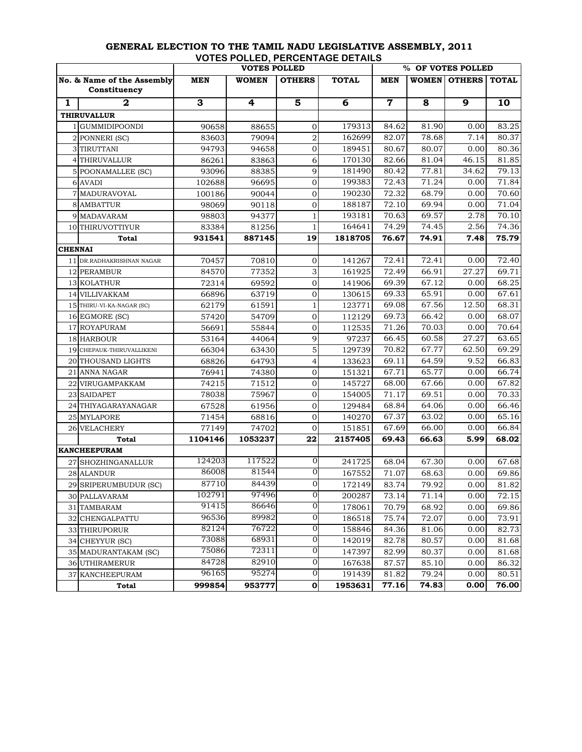|                            |                           | <b>VOTES POLLED</b> |         |                         | % OF VOTES POLLED |             |       |                       |       |
|----------------------------|---------------------------|---------------------|---------|-------------------------|-------------------|-------------|-------|-----------------------|-------|
| No. & Name of the Assembly |                           | MEN                 | WOMEN   | <b>OTHERS</b>           | <b>TOTAL</b>      | MEN         | WOMEN | <b>OTHERS   TOTAL</b> |       |
|                            | Constituency              |                     |         |                         |                   |             |       |                       |       |
| 1                          | $\mathbf{2}$              | 3                   | 4       | $\overline{\mathbf{5}}$ | 6                 | $\mathbf 7$ | 8     | 9                     | 10    |
|                            | <b>THIRUVALLUR</b>        |                     |         |                         |                   |             |       |                       |       |
|                            | 1 GUMMIDIPOONDI           | 90658               | 88655   | 0                       | 179313            | 84.62       | 81.90 | 0.00                  | 83.25 |
|                            | 2 PONNERI (SC)            | 83603               | 79094   | $\boldsymbol{2}$        | 162699            | 82.07       | 78.68 | 7.14                  | 80.37 |
|                            | 3 TIRUTTANI               | 94793               | 94658   | $\mathbf 0$             | 189451            | 80.67       | 80.07 | 0.00                  | 80.36 |
|                            | 4 THIRUVALLUR             | 86261               | 83863   | 6                       | 170130            | 82.66       | 81.04 | 46.15                 | 81.85 |
|                            | 5 POONAMALLEE (SC)        | 93096               | 88385   | 9                       | 181490            | 80.42       | 77.81 | 34.62                 | 79.13 |
|                            | 6 AVADI                   | 102688              | 96695   | $\mathbf 0$             | 199383            | 72.43       | 71.24 | 0.00                  | 71.84 |
|                            | 7 MADURAVOYAL             | 100186              | 90044   | $\mathbf 0$             | 190230            | 72.32       | 68.79 | 0.00                  | 70.60 |
|                            | 8 AMBATTUR                | 98069               | 90118   | $\mathbf 0$             | 188187            | 72.10       | 69.94 | 0.00                  | 71.04 |
|                            | 9 MADAVARAM               | 98803               | 94377   | $\mathbf{1}$            | 193181            | 70.63       | 69.57 | 2.78                  | 70.10 |
|                            | 10 THIRUVOTTIYUR          | 83384               | 81256   | $\mathbf{1}$            | 164641            | 74.29       | 74.45 | 2.56                  | 74.36 |
|                            | <b>Total</b>              | 931541              | 887145  | 19                      | 1818705           | 76.67       | 74.91 | 7.48                  | 75.79 |
| <b>CHENNAI</b>             |                           |                     |         |                         |                   |             |       |                       |       |
|                            | 11 DR.RADHAKRISHNAN NAGAR | 70457               | 70810   | 0                       | 141267            | 72.41       | 72.41 | 0.00                  | 72.40 |
|                            | 12 PERAMBUR               | 84570               | 77352   | 3                       | 161925            | 72.49       | 66.91 | 27.27                 | 69.71 |
|                            | 13 KOLATHUR               | 72314               | 69592   | $\mathbf 0$             | 141906            | 69.39       | 67.12 | 0.00                  | 68.25 |
|                            | 14 VILLIVAKKAM            | 66896               | 63719   | $\mathbf 0$             | 130615            | 69.33       | 65.91 | 0.00                  | 67.61 |
|                            | 15 THIRU-VI-KA-NAGAR (SC) | 62179               | 61591   | $\mathbf{1}$            | 123771            | 69.08       | 67.56 | 12.50                 | 68.31 |
|                            | 16 EGMORE (SC)            | 57420               | 54709   | $\mathbf 0$             | 112129            | 69.73       | 66.42 | 0.00                  | 68.07 |
|                            | 17 ROYAPURAM              | 56691               | 55844   | $\mathbf 0$             | 112535            | 71.26       | 70.03 | 0.00                  | 70.64 |
|                            | 18 HARBOUR                | 53164               | 44064   | 9                       | 97237             | 66.45       | 60.58 | 27.27                 | 63.65 |
|                            | 19 CHEPAUK-THIRUVALLIKENI | 66304               | 63430   | 5                       | 129739            | 70.82       | 67.77 | 62.50                 | 69.29 |
|                            | 20 THOUSAND LIGHTS        | 68826               | 64793   | $\overline{4}$          | 133623            | 69.11       | 64.59 | 9.52                  | 66.83 |
|                            | 21 ANNA NAGAR             | 76941               | 74380   | $\mathbf 0$             | 151321            | 67.71       | 65.77 | 0.00                  | 66.74 |
| 22                         | VIRUGAMPAKKAM             | 74215               | 71512   | $\mathbf 0$             | 145727            | 68.00       | 67.66 | 0.00                  | 67.82 |
|                            | 23 SAIDAPET               | 78038               | 75967   | $\mathbf 0$             | 154005            | 71.17       | 69.51 | 0.00                  | 70.33 |
|                            | 24 THIYAGARAYANAGAR       | 67528               | 61956   | $\mathbf 0$             | 129484            | 68.84       | 64.06 | 0.00                  | 66.46 |
|                            | 25 MYLAPORE               | 71454               | 68816   | 0                       | 140270            | 67.37       | 63.02 | 0.00                  | 65.16 |
|                            | <b>26 VELACHERY</b>       | 77149               | 74702   | $\overline{0}$          | 151851            | 67.69       | 66.00 | 0.00                  | 66.84 |
|                            | Total                     | 1104146             | 1053237 | 22                      | 2157405           | 69.43       | 66.63 | 5.99                  | 68.02 |
|                            | <b>KANCHEEPURAM</b>       |                     |         |                         |                   |             |       |                       |       |
|                            | 27 SHOZHINGANALLUR        | 124203              | 117522  | $\overline{0}$          | 241725            | 68.04       | 67.30 | 0.00                  | 67.68 |
|                            | 28 ALANDUR                | 86008               | 81544   | $\boldsymbol{0}$        | 167552            | 71.07       | 68.63 | 0.00                  | 69.86 |
|                            | 29 SRIPERUMBUDUR (SC)     | 87710               | 84439   | $\overline{O}$          | 172149            | 83.74       | 79.92 | 0.00                  | 81.82 |
|                            | 30 PALLAVARAM             | 102791              | 97496   | $\overline{0}$          | 200287            | 73.14       | 71.14 | 0.00                  | 72.15 |
|                            | 31 TAMBARAM               | 91415               | 86646   | 0                       | 178061            | 70.79       | 68.92 | 0.00                  | 69.86 |
|                            | 32 CHENGALPATTU           | 96536               | 89982   | 0                       | 186518            | 75.74       | 72.07 | 0.00                  | 73.91 |
|                            | 33 THIRUPORUR             | 82124               | 76722   | 0                       | 158846            | 84.36       | 81.06 | 0.00                  | 82.73 |
|                            | 34 CHEYYUR (SC)           | 73088               | 68931   | 0                       | 142019            | 82.78       | 80.57 | 0.00                  | 81.68 |
|                            | 35 MADURANTAKAM (SC)      | 75086               | 72311   | 0                       | 147397            | 82.99       | 80.37 | 0.00                  | 81.68 |
|                            | 36 UTHIRAMERUR            | 84728               | 82910   | 0                       | 167638            | 87.57       | 85.10 | 0.00                  | 86.32 |
|                            | 37 KANCHEEPURAM           | 96165               | 95274   | 0                       | 191439            | 81.82       | 79.24 | 0.00                  | 80.51 |
|                            | <b>Total</b>              | 999854              | 953777  | $\pmb{0}$               | 1953631           | 77.16       | 74.83 | 0.00                  | 76.00 |

## **GENERAL ELECTION TO THE TAMIL NADU LEGISLATIVE ASSEMBLY, 2011 VOTES POLLED, PERCENTAGE DETAILS**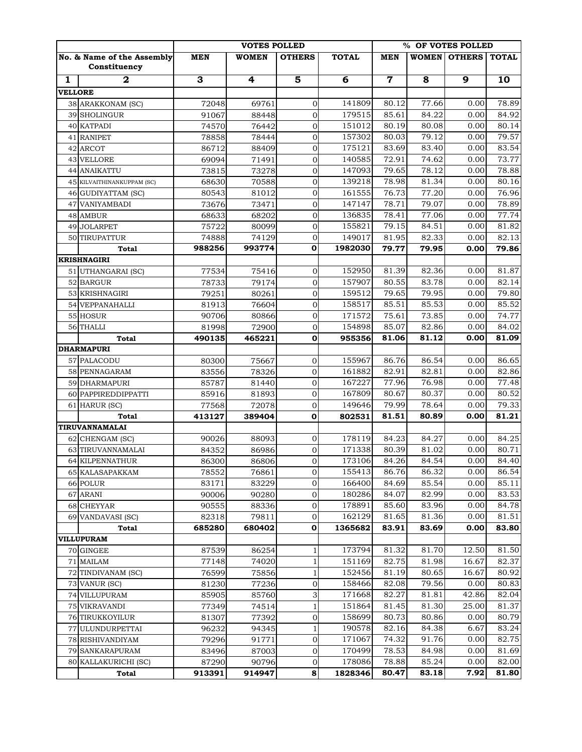|                |                                            |                         | % OF VOTES POLLED |                         |              |             |                         |                |              |
|----------------|--------------------------------------------|-------------------------|-------------------|-------------------------|--------------|-------------|-------------------------|----------------|--------------|
|                | No. & Name of the Assembly<br>Constituency | <b>MEN</b>              | <b>WOMEN</b>      | <b>OTHERS</b>           | <b>TOTAL</b> | <b>MEN</b>  | WOMEN                   | <b>OTHERS</b>  | <b>TOTAL</b> |
| 1              | $\mathbf{2}$                               | $\overline{\mathbf{3}}$ | 4                 | $\overline{\mathbf{5}}$ | 6            | $\mathbf 7$ | $\overline{\mathbf{8}}$ | $\overline{9}$ | 10           |
| <b>VELLORE</b> |                                            |                         |                   |                         |              |             |                         |                |              |
|                | 38 ARAKKONAM (SC)                          | 72048                   | 69761             | $\mathbf{0}$            | 141809       | 80.12       | 77.66                   | 0.00           | 78.89        |
| 39             | <b>SHOLINGUR</b>                           | 91067                   | 88448             | $\mathbf{0}$            | 179515       | 85.61       | 84.22                   | 0.00           | 84.92        |
|                | 40 KATPADI                                 | 74570                   | 76442             | $\mathbf 0$             | 151012       | 80.19       | 80.08                   | 0.00           | 80.14        |
|                | 41 RANIPET                                 | 78858                   | 78444             | $\mathbf 0$             | 157302       | 80.03       | 79.12                   | 0.00           | 79.57        |
| 42             | <b>ARCOT</b>                               | 86712                   | 88409             | $\mathbf 0$             | 175121       | 83.69       | 83.40                   | 0.00           | 83.54        |
|                | 43 VELLORE                                 | 69094                   | 71491             | $\overline{0}$          | 140585       | 72.91       | 74.62                   | 0.00           | 73.77        |
|                | <b>44 ANAIKATTU</b>                        | 73815                   | 73278             | $\mathbf 0$             | 147093       | 79.65       | 78.12                   | 0.00           | 78.88        |
|                | 45 KILVAITHINANKUPPAM (SC)                 | 68630                   | 70588             | $\mathbf 0$             | 139218       | 78.98       | 81.34                   | 0.00           | 80.16        |
|                | 46 GUDIYATTAM (SC)                         | 80543                   | 81012             | $\overline{0}$          | 161555       | 76.73       | 77.20                   | 0.00           | 76.96        |
|                | 47 VANIYAMBADI                             | 73676                   | 73471             | $\overline{0}$          | 147147       | 78.71       | 79.07                   | 0.00           | 78.89        |
|                | <b>48 AMBUR</b>                            | 68633                   | 68202             | $\mathbf{0}$            | 136835       | 78.41       | 77.06                   | 0.00           | 77.74        |
| 49             | <b>JOLARPET</b>                            | 75722                   | 80099             | $\overline{0}$          | 155821       | 79.15       | 84.51                   | 0.00           | 81.82        |
|                | 50 TIRUPATTUR                              | 74888                   | 74129             | $\mathbf{0}$            | 149017       | 81.95       | 82.33                   | 0.00           | 82.13        |
|                | Total                                      | 988256                  | 993774            | $\mathbf 0$             | 1982030      | 79.77       | 79.95                   | 0.00           | 79.86        |
|                | <b>KRISHNAGIRI</b>                         |                         |                   |                         |              |             |                         |                |              |
|                | 51 UTHANGARAI (SC)                         | 77534                   | 75416             | $\mathbf{0}$            | 152950       | 81.39       | 82.36                   | 0.00           | 81.87        |
|                | 52 BARGUR                                  | 78733                   | 79174             | $\overline{0}$          | 157907       | 80.55       | 83.78                   | 0.00           | 82.14        |
|                | 53 KRISHNAGIRI                             | 79251                   | 80261             | $\overline{0}$          | 159512       | 79.65       | 79.95                   | 0.00           | 79.80        |
|                | 54 VEPPANAHALLI                            | 81913                   | 76604             | $\overline{0}$          | 158517       | 85.51       | 85.53                   | 0.00           | 85.52        |
|                | 55 HOSUR                                   | 90706                   | 80866             | $\mathbf 0$             | 171572       | 75.61       | 73.85                   | 0.00           | 74.77        |
|                | 56 THALLI                                  | 81998                   | 72900             | $\mathbf{0}$            | 154898       | 85.07       | 82.86                   | 0.00           | 84.02        |
|                | <b>Total</b>                               | 490135                  | 465221            | $\mathbf 0$             | 955356       | 81.06       | 81.12                   | 0.00           | 81.09        |
|                | <b>DHARMAPURI</b>                          |                         |                   |                         |              |             |                         |                |              |
|                | 57 PALACODU                                | 80300                   | 75667             | $\mathbf 0$             | 155967       | 86.76       | 86.54                   | 0.00           | 86.65        |
|                | 58 PENNAGARAM                              | 83556                   | 78326             | $\mathbf 0$             | 161882       | 82.91       | 82.81                   | 0.00           | 82.86        |
|                | 59 DHARMAPURI                              | 85787                   | 81440             | $\mathbf 0$             | 167227       | 77.96       | 76.98                   | 0.00           | 77.48        |
|                | 60 PAPPIREDDIPPATTI                        | 85916                   | 81893             | $\boldsymbol{0}$        | 167809       | 80.67       | 80.37                   | 0.00           | 80.52        |
|                | 61 HARUR (SC)                              | 77568                   | 72078             | $\boldsymbol{0}$        | 149646       | 79.99       | 78.64                   | 0.00           | 79.33        |
|                | Total<br>TIRUVANNAMALAI                    | 413127                  | 389404            | $\bf{0}$                | 802531       | 81.51       | 80.89                   | 0.00           | 81.21        |
|                | 62 CHENGAM (SC)                            | 90026                   | 88093             | $\mathbf 0$             | 178119       | 84.23       | 84.27                   | 0.00           | 84.25        |
|                | 63 TIRUVANNAMALAI                          | 84352                   |                   | $\mathbf 0$             | 171338       | 80.39       | 81.02                   | 0.00           | 80.71        |
|                | 64 KILPENNATHUR                            | 86300                   | 86986<br>86806    | $\mathbf 0$             | 173106       | 84.26       | 84.54                   | 0.00           | 84.40        |
|                | 65 KALASAPAKKAM                            | 78552                   | 76861             | $\mathbf 0$             | 155413       | 86.76       | 86.32                   | 0.00           | 86.54        |
|                | 66 POLUR                                   | 83171                   | 83229             | $\mathbf 0$             | 166400       | 84.69       | 85.54                   | 0.00           | 85.11        |
|                | 67 ARANI                                   | 90006                   | 90280             | $\boldsymbol{0}$        | 180286       | 84.07       | 82.99                   | 0.00           | 83.53        |
|                | 68 CHEYYAR                                 | 90555                   | 88336             | $\mathbf 0$             | 178891       | 85.60       | 83.96                   | 0.00           | 84.78        |
|                | 69 VANDAVASI (SC)                          | 82318                   | 79811             | $\mathbf 0$             | 162129       | 81.65       | 81.36                   | 0.00           | 81.51        |
|                | Total                                      | 685280                  | 680402            | $\mathbf 0$             | 1365682      | 83.91       | 83.69                   | 0.00           | 83.80        |
|                | <b>VILLUPURAM</b>                          |                         |                   |                         |              |             |                         |                |              |
|                | 70 GINGEE                                  | 87539                   | 86254             | $\mathbf{1}$            | 173794       | 81.32       | 81.70                   | 12.50          | 81.50        |
| 71             | <b>MAILAM</b>                              | 77148                   | 74020             | 1                       | 151169       | 82.75       | 81.98                   | 16.67          | 82.37        |
|                | 72 TINDIVANAM (SC)                         | 76599                   | 75856             | 1                       | 152456       | 81.19       | 80.65                   | 16.67          | 80.92        |
|                | 73 VANUR (SC)                              | 81230                   | 77236             | $\mathbf 0$             | 158466       | 82.08       | 79.56                   | 0.00           | 80.83        |
|                | 74 VILLUPURAM                              | 85905                   | 85760             | 3                       | 171668       | 82.27       | 81.81                   | 42.86          | 82.04        |
|                | 75 VIKRAVANDI                              | 77349                   | 74514             | $\mathbf{1}$            | 151864       | 81.45       | 81.30                   | 25.00          | 81.37        |
|                | 76 TIRUKKOYILUR                            | 81307                   | 77392             | $\boldsymbol{0}$        | 158699       | 80.73       | 80.86                   | 0.00           | 80.79        |
|                | 77 ULUNDURPETTAI                           | 96232                   | 94345             | $\mathbf 1$             | 190578       | 82.16       | 84.38                   | 6.67           | 83.24        |
|                | 78 RISHIVANDIYAM                           | 79296                   | 91771             | $\mathbf 0$             | 171067       | 74.32       | 91.76                   | 0.00           | 82.75        |
|                | 79 SANKARAPURAM                            | 83496                   | 87003             | 0                       | 170499       | 78.53       | 84.98                   | 0.00           | 81.69        |
|                | 80 KALLAKURICHI (SC)                       | 87290                   | 90796             | 0                       | 178086       | 78.88       | 85.24                   | 0.00           | 82.00        |
|                | <b>Total</b>                               | 913391                  | 914947            | 8                       | 1828346      | 80.47       | 83.18                   | 7.92           | 81.80        |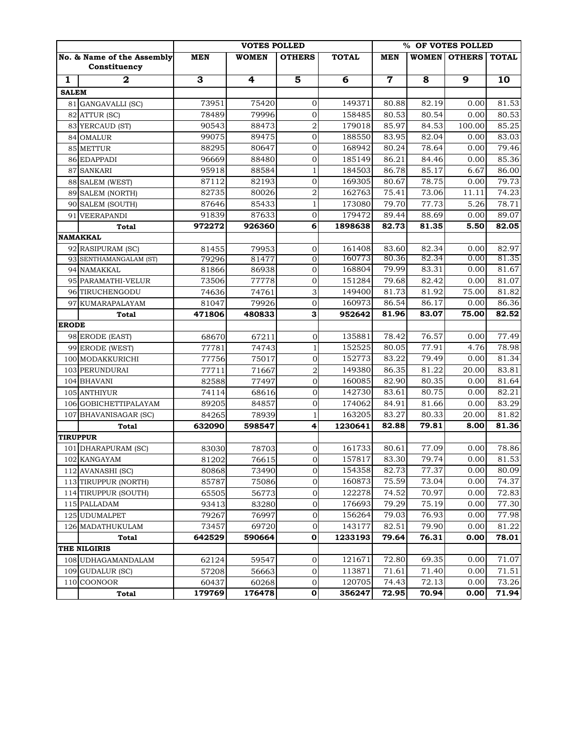|              |                            |            | % OF VOTES POLLED |                                 |                  |            |                |                |              |
|--------------|----------------------------|------------|-------------------|---------------------------------|------------------|------------|----------------|----------------|--------------|
|              | No. & Name of the Assembly | <b>MEN</b> | <b>WOMEN</b>      | <b>OTHERS</b>                   | <b>TOTAL</b>     | <b>MEN</b> | <b>WOMEN</b>   | <b>OTHERS</b>  | <b>TOTAL</b> |
|              | Constituency               |            |                   |                                 |                  |            |                |                |              |
| 1            | $\mathbf{2}$               | 3          | 4                 | $\overline{\mathbf{5}}$         | 6                | 7          | 8              | $\overline{9}$ | 10           |
| <b>SALEM</b> |                            |            |                   |                                 |                  |            |                |                |              |
|              | 81 GANGAVALLI (SC)         | 73951      | 75420             | 0                               | 149371           | 80.88      | 82.19          | 0.00           | 81.53        |
|              | 82 ATTUR (SC)              | 78489      | 79996             | $\mathbf 0$                     | 158485           | 80.53      | 80.54          | 0.00           | 80.53        |
|              | 83 YERCAUD (ST)            | 90543      | 88473             | $\overline{a}$                  | 179018           | 85.97      | 84.53          | 100.00         | 85.25        |
|              | 84 OMALUR                  | 99075      | 89475             | $\mathbf 0$                     | 188550           | 83.95      | 82.04          | 0.00           | 83.03        |
|              | 85 METTUR                  | 88295      | 80647             | $\mathbf 0$                     | 168942           | 80.24      | 78.64          | 0.00           | 79.46        |
|              | 86 EDAPPADI                | 96669      | 88480             | $\mathbf 0$                     | 185149           | 86.21      | 84.46          | 0.00           | 85.36        |
|              | 87 SANKARI                 | 95918      | 88584             | $\mathbf{1}$                    | 184503           | 86.78      | 85.17          | 6.67           | 86.00        |
|              | 88 SALEM (WEST)            | 87112      | 82193             | $\mathbf 0$                     | 169305           | 80.67      | 78.75          | 0.00           | 79.73        |
|              | 89 SALEM (NORTH)           | 82735      | 80026             | $\overline{a}$                  | 162763           | 75.41      | 73.06          | 11.11          | 74.23        |
|              | 90 SALEM (SOUTH)           | 87646      | 85433             | $\mathbf{1}$                    | 173080           | 79.70      | 77.73          | 5.26           | 78.71        |
|              | 91 VEERAPANDI              | 91839      | 87633             | $\mathbf 0$                     | 179472           | 89.44      | 88.69          | 0.00           | 89.07        |
|              | <b>Total</b>               | 972272     | 926360            | 6                               | 1898638          | 82.73      | 81.35          | 5.50           | 82.05        |
|              | <b>NAMAKKAL</b>            |            |                   |                                 |                  |            |                |                |              |
|              | 92 RASIPURAM (SC)          | 81455      | 79953             | $\mathbf{0}$                    | 161408           | 83.60      | 82.34          | 0.00           | 82.97        |
|              | 93 SENTHAMANGALAM (ST)     | 79296      | 81477             | $\overline{0}$                  | 160773           | 80.36      | 82.34          | 0.00           | 81.35        |
|              | 94 NAMAKKAL                | 81866      | 86938             | $\mathbf 0$                     | 168804           | 79.99      | 83.31          | 0.00           | 81.67        |
|              | 95 PARAMATHI-VELUR         | 73506      | 77778             | $\mathbf 0$                     | 151284           | 79.68      | 82.42          | 0.00           | 81.07        |
|              | 96 TIRUCHENGODU            | 74636      | 74761             | 3                               | 149400           | 81.73      | 81.92          | 75.00          | 81.82        |
|              | 97 KUMARAPALAYAM           | 81047      | 79926             | $\mathbf 0$                     | 160973           | 86.54      | 86.17          | 0.00           | 86.36        |
|              | <b>Total</b>               | 471806     | 480833            | 3                               | 952642           | 81.96      | 83.07          | 75.00          | 82.52        |
| <b>ERODE</b> |                            |            |                   |                                 |                  |            |                |                |              |
|              | 98 ERODE (EAST)            | 68670      | 67211             | $\mathbf 0$                     | 135881           | 78.42      | 76.57          | 0.00           | 77.49        |
|              | 99 ERODE (WEST)            | 77781      | 74743             | $\mathbf{1}$                    | 152525           | 80.05      | 77.91          | 4.76           | 78.98        |
|              | 100 MODAKKURICHI           | 77756      | 75017             | $\mathbf 0$                     | 152773           | 83.22      | 79.49          | 0.00           | 81.34        |
|              | 103 PERUNDURAI             | 77711      | 71667             | $\overline{a}$                  | 149380           | 86.35      | 81.22          | 20.00          | 83.81        |
|              | 104 BHAVANI                | 82588      | 77497             | $\mathbf{0}$                    | 160085           | 82.90      | 80.35          | 0.00           | 81.64        |
|              | 105 ANTHIYUR               | 74114      | 68616             | $\overline{0}$                  | 142730           | 83.61      | 80.75          | 0.00           | 82.21        |
|              | 106 GOBICHETTIPALAYAM      | 89205      | 84857             | 0                               | 174062           | 84.91      | 81.66          | 0.00           | 83.29        |
|              | 107 BHAVANISAGAR (SC)      | 84265      | 78939             | $\mathbf{1}$                    | 163205           | 83.27      | 80.33          | 20.00          | 81.82        |
|              | Total                      | 632090     | 598547            | 4                               | 1230641          | 82.88      | 79.81          | 8.00           | 81.36        |
|              | <b>TIRUPPUR</b>            |            |                   |                                 |                  |            |                |                |              |
|              | 101 DHARAPURAM (SC)        | 83030      | 78703             | 0                               | 161733           | 80.61      | 77.09          | 0.00           | 78.86        |
|              | 102 KANGAYAM               | 81202      | 76615             | $\overline{0}$                  | 157817           | 83.30      | 79.74          | 0.00           | 81.53        |
|              | 112 AVANASHI (SC)          | 80868      | 73490             | $\mathbf 0$                     | 154358           | 82.73      | 77.37          | 0.00           | 80.09        |
|              | 113 TIRUPPUR (NORTH)       | 85787      | 75086             | $\mathbf 0$                     | 160873           | 75.59      | 73.04          | 0.00           | 74.37        |
|              | 114 TIRUPPUR (SOUTH)       | 65505      | 56773             | $\boldsymbol{0}$                | 122278           | 74.52      | 70.97          | 0.00           | 72.83        |
|              | 115 PALLADAM               | 93413      | 83280             | $\boldsymbol{0}$                | 176693           | 79.29      | 75.19          | 0.00           | 77.30        |
|              | 125 UDUMALPET              | 79267      | 76997             | $\boldsymbol{0}$                | 156264           | 79.03      | 76.93          | 0.00           | 77.98        |
|              | 126 MADATHUKULAM           | 73457      | 69720             | $\mathbf 0$                     | 143177           | 82.51      | 79.90          | 0.00           | 81.22        |
|              | Total                      | 642529     | 590664            | 0                               | 1233193          | 79.64      | 76.31          | 0.00           | 78.01        |
|              | THE NILGIRIS               |            |                   |                                 |                  |            |                |                |              |
|              | 108 UDHAGAMANDALAM         | 62124      | 59547             | 0                               | 121671<br>113871 | 72.80      | 69.35          | 0.00           | 71.07        |
|              | 109 GUDALUR (SC)           | 57208      | 56663             | $\mathbf 0$                     |                  | 71.61      | 71.40<br>72.13 | 0.00<br>0.00   | 71.51        |
|              | 110 COONOOR                | 60437      | 60268             | $\boldsymbol{0}$<br>$\mathbf 0$ | 120705           | 74.43      |                |                | 73.26        |
|              | Total                      | 179769     | 176478            |                                 | 356247           | 72.95      | 70.94          | 0.00           | 71.94        |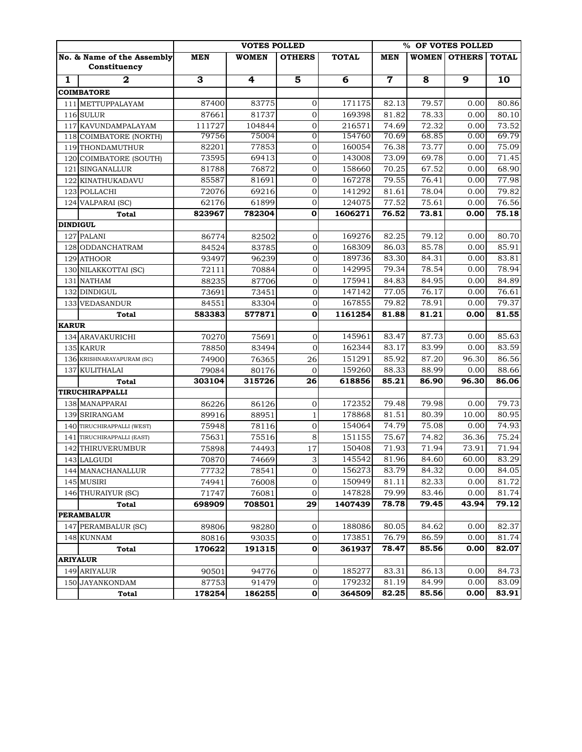|                 |                                 |                | % OF VOTES POLLED |                         |                  |                |                |                |                    |
|-----------------|---------------------------------|----------------|-------------------|-------------------------|------------------|----------------|----------------|----------------|--------------------|
|                 | No. & Name of the Assembly      | <b>MEN</b>     | <b>WOMEN</b>      | <b>OTHERS</b>           | <b>TOTAL</b>     | <b>MEN</b>     | <b>WOMEN</b>   | <b>OTHERS</b>  | <b>TOTAL</b>       |
|                 | Constituency                    |                |                   |                         |                  |                |                |                |                    |
| 1               | $\mathbf{2}$                    | 3              | 4                 | $\overline{\mathbf{5}}$ | 6                | $\mathbf 7$    | 8              | $\overline{9}$ | 10                 |
|                 | <b>COIMBATORE</b>               |                |                   |                         |                  |                |                |                |                    |
|                 | 111 METTUPPALAYAM               | 87400          | 83775             | 0                       | 171175           | 82.13          | 79.57          | 0.00           | 80.86              |
|                 | 116 SULUR                       | 87661          | 81737             | $\mathbf 0$             | 169398           | 81.82          | 78.33          | 0.00           | 80.10              |
|                 | 117 KAVUNDAMPALAYAM             | 111727         | 104844            | $\mathbf 0$             | 216571           | 74.69          | 72.32          | 0.00           | 73.52              |
|                 | 118 COIMBATORE (NORTH)          | 79756          | 75004             | 0                       | 154760           | 70.69          | 68.85          | 0.00           | 69.79              |
|                 | 119 THONDAMUTHUR                | 82201          | 77853             | $\mathbf 0$             | 160054           | 76.38          | 73.77          | 0.00           | 75.09              |
|                 | 120 COIMBATORE (SOUTH)          | 73595          | 69413             | $\mathbf 0$             | 143008           | 73.09          | 69.78          | 0.00           | 71.45              |
|                 | 121 SINGANALLUR                 | 81788          | 76872             | $\mathbf 0$             | 158660           | 70.25          | 67.52          | 0.00           | 68.90              |
|                 | 122 KINATHUKADAVU               | 85587          | 81691             | $\mathbf 0$             | 167278           | 79.55          | 76.41          | 0.00           | 77.98              |
|                 | 123 POLLACHI                    | 72076          | 69216             | $\mathbf 0$             | 141292           | 81.61          | 78.04          | 0.00           | 79.82              |
|                 | 124 VALPARAI (SC)               | 62176          | 61899             | $\mathbf 0$             | 124075           | 77.52          | 75.61          | 0.00           | $\overline{76.56}$ |
|                 | Total                           | 823967         | 782304            | O                       | 1606271          | 76.52          | 73.81          | 0.00           | 75.18              |
| <b>DINDIGUL</b> |                                 |                |                   |                         |                  |                |                |                |                    |
| 127             | <b>PALANI</b>                   | 86774          | 82502             | $\mathbf{0}$            | 169276           | 82.25          | 79.12          | 0.00           | 80.70              |
|                 | 128 ODDANCHATRAM                | 84524          | 83785             | $\overline{0}$          | 168309           | 86.03          | 85.78          | 0.00           | 85.91              |
|                 | 129 ATHOOR                      | 93497          | 96239             | $\mathbf 0$             | 189736           | 83.30          | 84.31          | 0.00           | 83.81              |
|                 | 130 NILAKKOTTAI (SC)            | 72111          | 70884             | $\mathbf 0$             | 142995           | 79.34          | 78.54          | 0.00           | 78.94              |
|                 | 131 NATHAM                      | 88235          | 87706             | $\mathbf{0}$            | 175941           | 84.83          | 84.95          | 0.00           | 84.89              |
|                 | 132 DINDIGUL                    | 73691          | 73451             | $\mathbf{0}$            | 147142           | 77.05          | 76.17          | 0.00           | 76.61              |
|                 | 133 VEDASANDUR                  | 84551          | 83304             | $\mathbf 0$             | 167855           | 79.82          | 78.91          | 0.00           | 79.37              |
|                 | <b>Total</b>                    | 583383         | 577871            | $\mathbf 0$             | 1161254          | 81.88          | 81.21          | 0.00           | 81.55              |
| <b>KARUR</b>    |                                 |                |                   |                         |                  |                |                |                |                    |
|                 | 134 ARAVAKURICHI                | 70270          | 75691             | $\mathbf 0$             | 145961           | 83.47          | 87.73          | 0.00           | 85.63              |
|                 | 135 KARUR                       | 78850          | 83494             | $\mathbf{0}$            | 162344           | 83.17          | 83.99          | 0.00           | 83.59              |
|                 | 136 KRISHNARAYAPURAM (SC)       | 74900          | 76365             | 26                      | 151291           | 85.92          | 87.20          | 96.30          | 86.56              |
|                 | 137 KULITHALAI                  | 79084          | 80176             | $\mathbf{0}$            | 159260           | 88.33          | 88.99          | 0.00           | 88.66              |
|                 | Total                           | 303104         | 315726            | 26                      | 618856           | 85.21          | 86.90          | 96.30          | 86.06              |
|                 | TIRUCHIRAPPALLI                 |                |                   |                         |                  |                |                |                |                    |
|                 | 138 MANAPPARAI                  | 86226          | 86126             | $\mathbf 0$             | 172352<br>178868 | 79.48          | 79.98          | 0.00<br>10.00  | 79.73              |
|                 | 139 SRIRANGAM                   | 89916          | 88951             | $\mathbf{1}$            |                  | 81.51          | 80.39          |                | 80.95              |
|                 | 140 TIRUCHIRAPPALLI (WEST)      | 75948          | 78116             | $\mathbf 0$             | 154064<br>151155 | 74.79          | 75.08          | 0.00           | 74.93              |
|                 | 141 TIRUCHIRAPPALLI (EAST)      | 75631          | 75516             | 8                       | 150408           | 75.67<br>71.93 | 74.82<br>71.94 | 36.36<br>73.91 | 75.24<br>71.94     |
|                 | 142 THIRUVERUMBUR               | 75898<br>70870 | 74493<br>74669    | 17                      | 145542           | 81.96          | 84.60          | 60.00          | 83.29              |
|                 | 143 LALGUDI                     | 77732          | 78541             | 3                       | 156273           | 83.79          | 84.32          | 0.00           | 84.05              |
|                 | 144 MANACHANALLUR<br>145 MUSIRI | 74941          |                   | 0<br>0                  | 150949           | 81.11          | 82.33          | 0.00           | 81.72              |
|                 | 146 THURAIYUR (SC)              | 71747          | 76008<br>76081    | 0                       | 147828           | 79.99          | 83.46          | 0.00           | 81.74              |
|                 | Total                           | 698909         | 708501            | 29                      | 1407439          | 78.78          | 79.45          | 43.94          | 79.12              |
|                 | <b>PERAMBALUR</b>               |                |                   |                         |                  |                |                |                |                    |
|                 | 147 PERAMBALUR (SC)             | 89806          | 98280             | 0                       | 188086           | 80.05          | 84.62          | 0.00           | 82.37              |
|                 | 148 KUNNAM                      | 80816          | 93035             | 0                       | 173851           | 76.79          | 86.59          | 0.00           | 81.74              |
|                 | Total                           | 170622         | 191315            | 0                       | 361937           | 78.47          | 85.56          | 0.00           | 82.07              |
|                 | <b>ARIYALUR</b>                 |                |                   |                         |                  |                |                |                |                    |
|                 | 149 ARIYALUR                    | 90501          | 94776             | 0                       | 185277           | 83.31          | 86.13          | 0.00           | 84.73              |
|                 | 150 JAYANKONDAM                 | 87753          | 91479             | $\boldsymbol{0}$        | 179232           | 81.19          | 84.99          | 0.00           | 83.09              |
|                 | Total                           | 178254         | 186255            | 0                       | 364509           | 82.25          | 85.56          | 0.00           | 83.91              |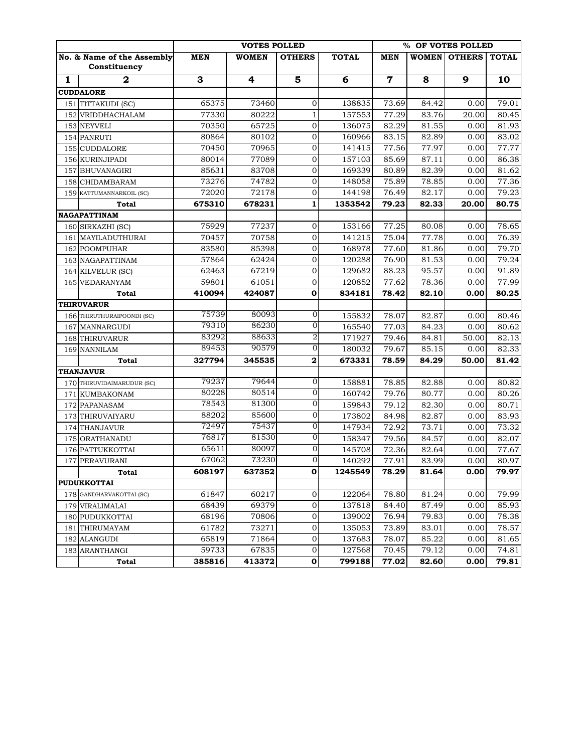|   |                                            | <b>VOTES POLLED</b> |              |                | % OF VOTES POLLED |             |       |                        |       |
|---|--------------------------------------------|---------------------|--------------|----------------|-------------------|-------------|-------|------------------------|-------|
|   | No. & Name of the Assembly<br>Constituency | <b>MEN</b>          | <b>WOMEN</b> | <b>OTHERS</b>  | <b>TOTAL</b>      | <b>MEN</b>  |       | WOMEN   OTHERS   TOTAL |       |
| 1 | $\overline{2}$                             | 3                   | 4            | 5              | 6                 | $\mathbf 7$ | 8     | $\overline{9}$         | 10    |
|   | <b>CUDDALORE</b>                           |                     |              |                |                   |             |       |                        |       |
|   | 151 TITTAKUDI (SC)                         | 65375               | 73460        | $\mathbf 0$    | 138835            | 73.69       | 84.42 | 0.00                   | 79.01 |
|   | 152 VRIDDHACHALAM                          | 77330               | 80222        | $\mathbf{1}$   | 157553            | 77.29       | 83.76 | 20.00                  | 80.45 |
|   | 153 NEYVELI                                | 70350               | 65725        | $\mathbf{0}$   | 136075            | 82.29       | 81.55 | 0.00                   | 81.93 |
|   | 154 PANRUTI                                | 80864               | 80102        | $\mathbf 0$    | 160966            | 83.15       | 82.89 | 0.00                   | 83.02 |
|   | 155 CUDDALORE                              | 70450               | 70965        | $\mathbf 0$    | 141415            | 77.56       | 77.97 | 0.00                   | 77.77 |
|   | 156 KURINJIPADI                            | 80014               | 77089        | $\mathbf 0$    | 157103            | 85.69       | 87.11 | 0.00                   | 86.38 |
|   | 157 BHUVANAGIRI                            | 85631               | 83708        | $\mathbf{0}$   | 169339            | 80.89       | 82.39 | 0.00                   | 81.62 |
|   | 158 CHIDAMBARAM                            | 73276               | 74782        | $\mathbf{O}$   | 148058            | 75.89       | 78.85 | 0.00                   | 77.36 |
|   | 159 KATTUMANNARKOIL (SC)                   | 72020               | 72178        | $\mathbf{0}$   | 144198            | 76.49       | 82.17 | 0.00                   | 79.23 |
|   | Total                                      | 675310              | 678231       | $\mathbf{1}$   | 1353542           | 79.23       | 82.33 | 20.00                  | 80.75 |
|   | <b>NAGAPATTINAM</b>                        |                     |              |                |                   |             |       |                        |       |
|   | 160 SIRKAZHI (SC)                          | 75929               | 77237        | $\mathbf{0}$   | 153166            | 77.25       | 80.08 | 0.00                   | 78.65 |
|   | 161 MAYILADUTHURAI                         | 70457               | 70758        | $\mathbf{0}$   | 141215            | 75.04       | 77.78 | 0.00                   | 76.39 |
|   | 162 POOMPUHAR                              | 83580               | 85398        | $\mathbf{0}$   | 168978            | 77.60       | 81.86 | 0.00                   | 79.70 |
|   | 163 NAGAPATTINAM                           | 57864               | 62424        | $\mathbf 0$    | 120288            | 76.90       | 81.53 | 0.00                   | 79.24 |
|   | 164 KILVELUR (SC)                          | 62463               | 67219        | $\mathbf{0}$   | 129682            | 88.23       | 95.57 | 0.00                   | 91.89 |
|   | 165 VEDARANYAM                             | 59801               | 61051        | $\mathbf 0$    | 120852            | 77.62       | 78.36 | 0.00                   | 77.99 |
|   | <b>Total</b>                               | 410094              | 424087       | 0              | 834181            | 78.42       | 82.10 | 0.00                   | 80.25 |
|   | <b>THIRUVARUR</b>                          |                     |              |                |                   |             |       |                        |       |
|   | 166 THIRUTHURAIPOONDI (SC)                 | 75739               | 80093        | $\mathbf{O}$   | 155832            | 78.07       | 82.87 | 0.00                   | 80.46 |
|   | 167 MANNARGUDI                             | 79310               | 86230        | $\mathbf{0}$   | 165540            | 77.03       | 84.23 | 0.00                   | 80.62 |
|   | 168 THIRUVARUR                             | 83292               | 88633        | 2              | 171927            | 79.46       | 84.81 | 50.00                  | 82.13 |
|   | 169 NANNILAM                               | 89453               | 90579        | $\mathbf{0}$   | 180032            | 79.67       | 85.15 | 0.00                   | 82.33 |
|   | Total                                      | 327794              | 345535       | $\bf{2}$       | 673331            | 78.59       | 84.29 | 50.00                  | 81.42 |
|   | <b>THANJAVUR</b>                           |                     |              |                |                   |             |       |                        |       |
|   | 170 THIRUVIDAIMARUDUR (SC)                 | 79237               | 79644        | $\mathbf{O}$   | 158881            | 78.85       | 82.88 | 0.00                   | 80.82 |
|   | 171 KUMBAKONAM                             | 80228               | 80514        | 0              | 160742            | 79.76       | 80.77 | 0.00                   | 80.26 |
|   | 172 PAPANASAM                              | 78543               | 81300        | 0              | 159843            | 79.12       | 82.30 | 0.00                   | 80.71 |
|   | 173 THIRUVAIYARU                           | 88202               | 85600        | 0              | 173802            | 84.98       | 82.87 | 0.00                   | 83.93 |
|   | 174 THANJAVUR                              | 72497               | 75437        | 0              | 147934            | 72.92       | 73.71 | 0.00                   | 73.32 |
|   | 175 ORATHANADU                             | 76817               | 81530        | $\overline{O}$ | 158347            | 79.56       | 84.57 | 0.00                   | 82.07 |
|   | 176 PATTUKKOTTAI                           | 65611               | 80097        | $\overline{O}$ | 145708            | 72.36       | 82.64 | 0.00                   | 77.67 |
|   | 177 PERAVURANI                             | 67062               | 73230        | $\overline{0}$ | 140292            | 77.91       | 83.99 | 0.00                   | 80.97 |
|   | Total                                      | 608197              | 637352       | 0              | 1245549           | 78.29       | 81.64 | 0.00                   | 79.97 |
|   | <b>PUDUKKOTTAI</b>                         |                     |              |                |                   |             |       |                        |       |
|   | 178 GANDHARVAKOTTAI (SC)                   | 61847               | 60217        | $\mathbf 0$    | 122064            | 78.80       | 81.24 | 0.00                   | 79.99 |
|   | 179 VIRALIMALAI                            | 68439               | 69379        | $\mathbf{0}$   | 137818            | 84.40       | 87.49 | 0.00                   | 85.93 |
|   | 180 PUDUKKOTTAI                            | 68196               | 70806        | $\mathbf 0$    | 139002            | 76.94       | 79.83 | 0.00                   | 78.38 |
|   | 181 THIRUMAYAM                             | 61782               | 73271        | $\mathbf 0$    | 135053            | 73.89       | 83.01 | 0.00                   | 78.57 |
|   | 182 ALANGUDI                               | 65819               | 71864        | $\mathbf 0$    | 137683            | 78.07       | 85.22 | 0.00                   | 81.65 |
|   | 183 ARANTHANGI                             | 59733               | 67835        | $\mathbf 0$    | 127568            | 70.45       | 79.12 | 0.00                   | 74.81 |
|   | Total                                      | 385816              | 413372       | $\mathbf 0$    | 799188            | 77.02       | 82.60 | 0.00                   | 79.81 |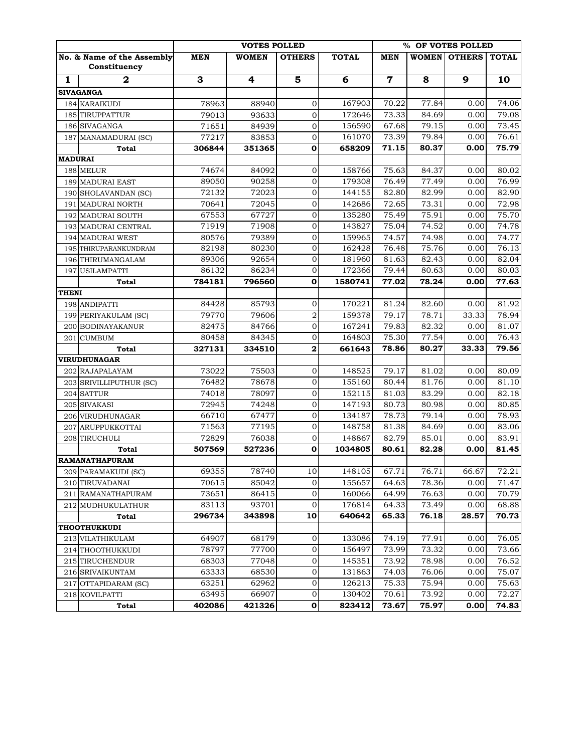|                |                                            |            | % OF VOTES POLLED |                         |              |             |       |                |              |
|----------------|--------------------------------------------|------------|-------------------|-------------------------|--------------|-------------|-------|----------------|--------------|
|                | No. & Name of the Assembly<br>Constituency | <b>MEN</b> | <b>WOMEN</b>      | <b>OTHERS</b>           | <b>TOTAL</b> | <b>MEN</b>  | WOMEN | <b>OTHERS</b>  | <b>TOTAL</b> |
| $\mathbf{1}$   | $\mathbf{2}$                               | 3          | 4                 | 5                       | 6            | $\mathbf 7$ | 8     | $\overline{9}$ | 10           |
|                | <b>SIVAGANGA</b>                           |            |                   |                         |              |             |       |                |              |
|                | 184 KARAIKUDI                              | 78963      | 88940             | 0                       | 167903       | 70.22       | 77.84 | 0.00           | 74.06        |
|                | 185 TIRUPPATTUR                            | 79013      | 93633             | $\overline{0}$          | 172646       | 73.33       | 84.69 | 0.00           | 79.08        |
|                | 186 SIVAGANGA                              | 71651      | 84939             | $\overline{0}$          | 156590       | 67.68       | 79.15 | 0.00           | 73.45        |
|                | 187 MANAMADURAI (SC)                       | 77217      | 83853             | $\mathbf 0$             | 161070       | 73.39       | 79.84 | 0.00           | 76.61        |
|                | <b>Total</b>                               | 306844     | 351365            | $\mathbf 0$             | 658209       | 71.15       | 80.37 | 0.00           | 75.79        |
| <b>MADURAI</b> |                                            |            |                   |                         |              |             |       |                |              |
|                | 188 MELUR                                  | 74674      | 84092             | $\mathbf 0$             | 158766       | 75.63       | 84.37 | 0.00           | 80.02        |
|                | <b>189 MADURAI EAST</b>                    | 89050      | 90258             | $\mathbf 0$             | 179308       | 76.49       | 77.49 | 0.00           | 76.99        |
|                | 190 SHOLAVANDAN (SC)                       | 72132      | 72023             | $\overline{0}$          | 144155       | 82.80       | 82.99 | 0.00           | 82.90        |
|                | 191 MADURAI NORTH                          | 70641      | 72045             | $\overline{0}$          | 142686       | 72.65       | 73.31 | 0.00           | 72.98        |
|                | 192 MADURAI SOUTH                          | 67553      | 67727             | 0                       | 135280       | 75.49       | 75.91 | 0.00           | 75.70        |
|                | 193 MADURAI CENTRAL                        | 71919      | 71908             | $\overline{0}$          | 143827       | 75.04       | 74.52 | 0.00           | 74.78        |
|                | <b>194 MADURAI WEST</b>                    | 80576      | 79389             | $\overline{0}$          | 159965       | 74.57       | 74.98 | 0.00           | 74.77        |
|                | 195 THIRUPARANKUNDRAM                      | 82198      | 80230             | $\mathbf 0$             | 162428       | 76.48       | 75.76 | 0.00           | 76.13        |
|                | 196 THIRUMANGALAM                          | 89306      | 92654             | 0                       | 181960       | 81.63       | 82.43 | 0.00           | 82.04        |
|                | 197 USILAMPATTI                            | 86132      | 86234             | $\overline{0}$          | 172366       | 79.44       | 80.63 | 0.00           | 80.03        |
|                | <b>Total</b>                               | 784181     | 796560            | $\mathbf 0$             | 1580741      | 77.02       | 78.24 | 0.00           | 77.63        |
| THENI          |                                            |            |                   |                         |              |             |       |                |              |
|                | 198 ANDIPATTI                              | 84428      | 85793             | $\mathbf 0$             | 170221       | 81.24       | 82.60 | 0.00           | 81.92        |
|                | 199 PERIYAKULAM (SC)                       | 79770      | 79606             | $\overline{a}$          | 159378       | 79.17       | 78.71 | 33.33          | 78.94        |
|                | 200 BODINAYAKANUR                          | 82475      | 84766             | 0                       | 167241       | 79.83       | 82.32 | 0.00           | 81.07        |
|                | 201 CUMBUM                                 | 80458      | 84345             | $\overline{0}$          | 164803       | 75.30       | 77.54 | 0.00           | 76.43        |
|                | <b>Total</b>                               | 327131     | 334510            | $\overline{\mathbf{c}}$ | 661643       | 78.86       | 80.27 | 33.33          | 79.56        |
|                | <b>VIRUDHUNAGAR</b>                        |            |                   |                         |              |             |       |                |              |
|                | 202 RAJAPALAYAM                            | 73022      | 75503             | $\mathbf 0$             | 148525       | 79.17       | 81.02 | 0.00           | 80.09        |
|                | 203 SRIVILLIPUTHUR (SC)                    | 76482      | 78678             | $\mathbf 0$             | 155160       | 80.44       | 81.76 | 0.00           | 81.10        |
|                | 204 SATTUR                                 | 74018      | 78097             | $\mathbf 0$             | 152115       | 81.03       | 83.29 | 0.00           | 82.18        |
|                | 205 SIVAKASI                               | 72945      | 74248             | $\mathbf 0$             | 147193       | 80.73       | 80.98 | 0.00           | 80.85        |
|                | 206 VIRUDHUNAGAR                           | 66710      | 67477             | $\mathbf 0$             | 134187       | 78.73       | 79.14 | 0.00           | 78.93        |
|                | 207 ARUPPUKKOTTAI                          | 71563      | 77195             | 0                       | 148758       | 81.38       | 84.69 | 0.00           | 83.06        |
|                | 208 TIRUCHULI                              | 72829      | 76038             | $\mathbf 0$             | 148867       | 82.79       | 85.01 | 0.00           | 83.91        |
|                | Total                                      | 507569     | 527236            | 0                       | 1034805      | 80.61       | 82.28 | 0.00           | 81.45        |
|                | <b>RAMANATHAPURAM</b>                      |            |                   |                         |              |             |       |                |              |
|                | 209 PARAMAKUDI (SC)                        | 69355      | 78740             | 10                      | 148105       | 67.71       | 76.71 | 66.67          | 72.21        |
|                | 210 TIRUVADANAI                            | 70615      | 85042             | $\mathbf 0$             | 155657       | 64.63       | 78.36 | 0.00           | 71.47        |
|                | 211 RAMANATHAPURAM                         | 73651      | 86415             | 0                       | 160066       | 64.99       | 76.63 | 0.00           | 70.79        |
|                | 212 MUDHUKULATHUR                          | 83113      | 93701             | $\mathbf 0$             | 176814       | 64.33       | 73.49 | 0.00           | 68.88        |
|                | Total                                      | 296734     | 343898            | 10                      | 640642       | 65.33       | 76.18 | 28.57          | 70.73        |
|                | <b>THOOTHUKKUDI</b>                        |            |                   |                         |              |             |       |                |              |
|                | 213 VILATHIKULAM                           | 64907      | 68179             | 0                       | 133086       | 74.19       | 77.91 | 0.00           | 76.05        |
|                | 214 THOOTHUKKUDI                           | 78797      | 77700             | 0                       | 156497       | 73.99       | 73.32 | 0.00           | 73.66        |
|                | 215 TIRUCHENDUR                            | 68303      | 77048             | 0                       | 145351       | 73.92       | 78.98 | 0.00           | 76.52        |
|                | 216 SRIVAIKUNTAM                           | 63333      | 68530             | 0                       | 131863       | 74.03       | 76.06 | 0.00           | 75.07        |
|                | 217 OTTAPIDARAM (SC)                       | 63251      | 62962             | 0                       | 126213       | 75.33       | 75.94 | 0.00           | 75.63        |
|                | 218 KOVILPATTI                             | 63495      | 66907             | 0                       | 130402       | 70.61       | 73.92 | 0.00           | 72.27        |
|                | Total                                      | 402086     | 421326            | 0                       | 823412       | 73.67       | 75.97 | 0.00           | 74.83        |